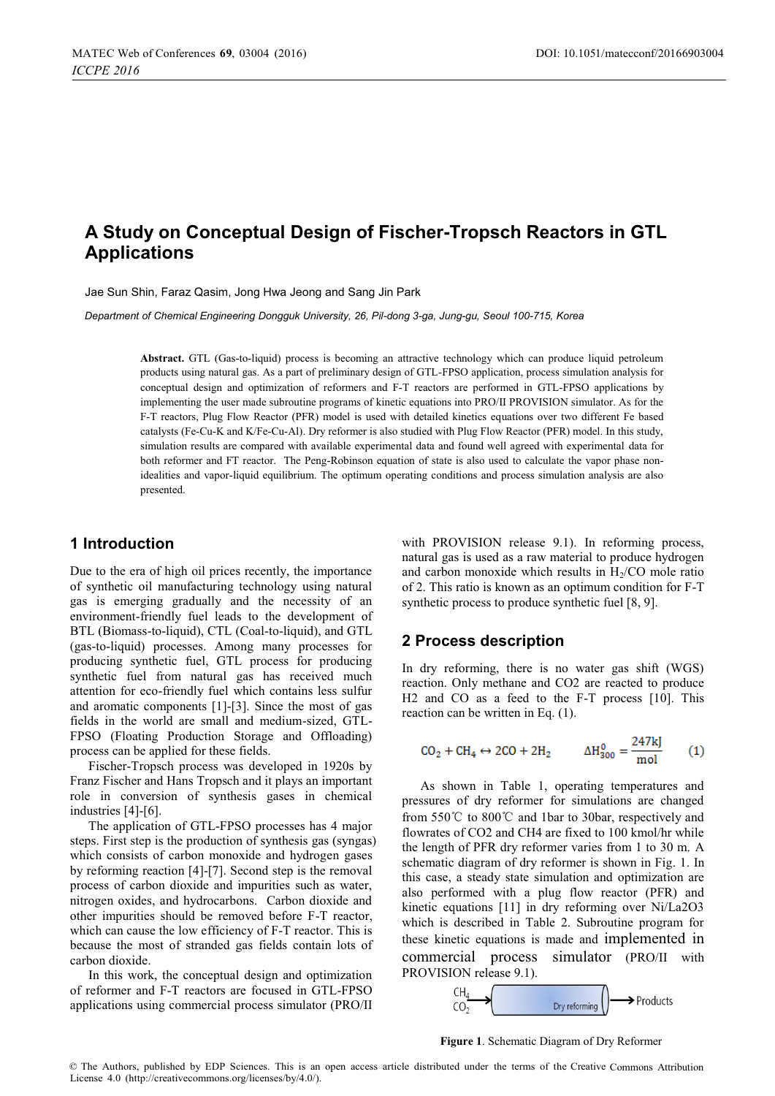# **A Study on Conceptual Design of Fischer-Tropsch Reactors in GTL Applications**

Jae Sun Shin, Faraz Qasim, Jong Hwa Jeong and Sang Jin Park

*Department of Chemical Engineering Dongguk University, 26, Pil-dong 3-ga, Jung-gu, Seoul 100-715, Korea* 

**Abstract.** GTL (Gas-to-liquid) process is becoming an attractive technology which can produce liquid petroleum products using natural gas. As a part of preliminary design of GTL-FPSO application, process simulation analysis for conceptual design and optimization of reformers and F-T reactors are performed in GTL-FPSO applications by implementing the user made subroutine programs of kinetic equations into PRO/II PROVISION simulator. As for the F-T reactors, Plug Flow Reactor (PFR) model is used with detailed kinetics equations over two different Fe based catalysts (Fe-Cu-K and K/Fe-Cu-Al). Dry reformer is also studied with Plug Flow Reactor (PFR) model. In this study, simulation results are compared with available experimental data and found well agreed with experimental data for both reformer and FT reactor. The Peng-Robinson equation of state is also used to calculate the vapor phase nonidealities and vapor-liquid equilibrium. The optimum operating conditions and process simulation analysis are also presented.

#### **1 Introduction**

Due to the era of high oil prices recently, the importance of synthetic oil manufacturing technology using natural gas is emerging gradually and the necessity of an environment-friendly fuel leads to the development of BTL (Biomass-to-liquid), CTL (Coal-to-liquid), and GTL (gas-to-liquid) processes. Among many processes for producing synthetic fuel, GTL process for producing synthetic fuel from natural gas has received much attention for eco-friendly fuel which contains less sulfur and aromatic components [1]-[3]. Since the most of gas fields in the world are small and medium-sized, GTL-FPSO (Floating Production Storage and Offloading) process can be applied for these fields.

Fischer-Tropsch process was developed in 1920s by Franz Fischer and Hans Tropsch and it plays an important role in conversion of synthesis gases in chemical industries [4]-[6].

The application of GTL-FPSO processes has 4 major steps. First step is the production of synthesis gas (syngas) which consists of carbon monoxide and hydrogen gases by reforming reaction [4]-[7]. Second step is the removal process of carbon dioxide and impurities such as water, nitrogen oxides, and hydrocarbons. Carbon dioxide and other impurities should be removed before F-T reactor, which can cause the low efficiency of F-T reactor. This is because the most of stranded gas fields contain lots of carbon dioxide.

In this work, the conceptual design and optimization of reformer and F-T reactors are focused in GTL-FPSO applications using commercial process simulator (PRO/II

with PROVISION release 9.1). In reforming process, natural gas is used as a raw material to produce hydrogen and carbon monoxide which results in  $H<sub>2</sub>/CO$  mole ratio of 2. This ratio is known as an optimum condition for F-T synthetic process to produce synthetic fuel [8, 9].

#### **2 Process description**

In dry reforming, there is no water gas shift (WGS) reaction. Only methane and CO2 are reacted to produce H2 and CO as a feed to the F-T process [10]. This reaction can be written in Eq. (1).

$$
CO_2 + CH_4 \leftrightarrow 2CO + 2H_2
$$
  $\Delta H_{300}^0 = \frac{247 \text{kJ}}{\text{mol}}$  (1)

As shown in Table 1, operating temperatures and pressures of dry reformer for simulations are changed from 550°C to 800°C and 1bar to 30bar, respectively and flowrates of CO2 and CH4 are fixed to 100 kmol/hr while the length of PFR dry reformer varies from 1 to 30 m. A schematic diagram of dry reformer is shown in Fig. 1. In this case, a steady state simulation and optimization are also performed with a plug flow reactor (PFR) and kinetic equations [11] in dry reforming over Ni/La2O3 which is described in Table 2. Subroutine program for these kinetic equations is made and implemented in commercial process simulator (PRO/II with PROVISION release 9.1).



**Figure 1**. Schematic Diagram of Dry Reformer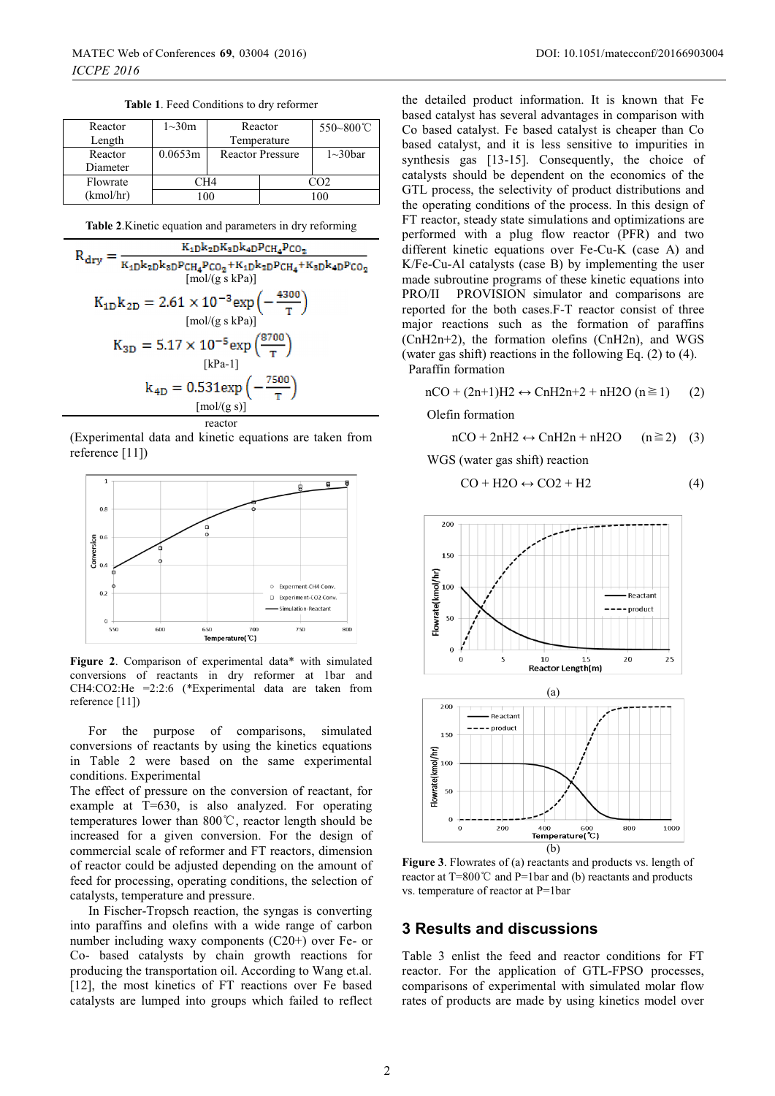| Table 1. Feed Conditions to dry reformer |  |  |
|------------------------------------------|--|--|
|                                          |  |  |

| Reactor   | $1 - 30m$               | Reactor                 |     | 550~800°C       |
|-----------|-------------------------|-------------------------|-----|-----------------|
| Length    |                         | Temperature             |     |                 |
| Reactor   | 0.0653m                 | <b>Reactor Pressure</b> |     | $1 \sim 30$ bar |
| Diameter  |                         |                         |     |                 |
| Flowrate  | $\mathbb{C}\mathrm{H}4$ |                         | നാ  |                 |
| (kmol/hr) | 0 <sup>0</sup>          |                         | 100 |                 |

**Table 2**.Kinetic equation and parameters in dry reforming

$$
R_{dry} = \frac{K_{4D}k_{2D}K_{8D}k_{4D}P_{CH_4}P_{CO_2}}{K_{4D}k_{2D}k_{8D}P_{CH_4}P_{CO_2} + K_{4D}k_{2D}P_{CH_4} + K_{8D}k_{4D}P_{CO_2}} \quad [mol/(g \text{ s} \text{ kPa})]
$$
\n
$$
K_{1D}k_{2D} = 2.61 \times 10^{-3} \exp\left(-\frac{4300}{T}\right)
$$
\n
$$
K_{3D} = 5.17 \times 10^{-5} \exp\left(\frac{8700}{T}\right)
$$
\n
$$
[kPa-1]
$$
\n
$$
k_{4D} = 0.531 \exp\left(-\frac{7500}{T}\right)
$$
\n
$$
[mol/(g \text{ s})]
$$

reactor (Experimental data and kinetic equations are taken from reference [11])



**Figure 2**. Comparison of experimental data\* with simulated conversions of reactants in dry reformer at 1bar and CH4:CO2:He =2:2:6 (\*Experimental data are taken from reference [11])

For the purpose of comparisons, simulated conversions of reactants by using the kinetics equations in Table 2 were based on the same experimental conditions. Experimental

The effect of pressure on the conversion of reactant, for example at T=630, is also analyzed. For operating temperatures lower than  $800^{\circ}$ C, reactor length should be increased for a given conversion. For the design of commercial scale of reformer and FT reactors, dimension of reactor could be adjusted depending on the amount of feed for processing, operating conditions, the selection of catalysts, temperature and pressure.

In Fischer-Tropsch reaction, the syngas is converting into paraffins and olefins with a wide range of carbon number including waxy components (C20+) over Fe- or Co- based catalysts by chain growth reactions for producing the transportation oil. According to Wang et.al. [12], the most kinetics of FT reactions over Fe based catalysts are lumped into groups which failed to reflect

the detailed product information. It is known that Fe based catalyst has several advantages in comparison with Co based catalyst. Fe based catalyst is cheaper than Co based catalyst, and it is less sensitive to impurities in synthesis gas [13-15]. Consequently, the choice of catalysts should be dependent on the economics of the GTL process, the selectivity of product distributions and the operating conditions of the process. In this design of FT reactor, steady state simulations and optimizations are performed with a plug flow reactor (PFR) and two different kinetic equations over Fe-Cu-K (case A) and K/Fe-Cu-Al catalysts (case B) by implementing the user made subroutine programs of these kinetic equations into PRO/II PROVISION simulator and comparisons are reported for the both cases.F-T reactor consist of three major reactions such as the formation of paraffins (CnH2n+2), the formation olefins (CnH2n), and WGS (water gas shift) reactions in the following Eq. (2) to (4). Paraffin formation

 $nCO + (2n+1)H2 \leftrightarrow ChH2n+2 + nH2O (n \ge 1)$  (2)

Olefin formation

 $nCO + 2nH2 \leftrightarrow ChH2n + nH2O$  (n $\geq$ 2) (3)

WGS (water gas shift) reaction

$$
CO + H2O \leftrightarrow CO2 + H2
$$
 (4)



**Figure 3**. Flowrates of (a) reactants and products vs. length of reactor at  $T=800^{\circ}$ C and P=1bar and (b) reactants and products vs. temperature of reactor at P=1bar

### **3 Results and discussions**

Table 3 enlist the feed and reactor conditions for FT reactor. For the application of GTL-FPSO processes, comparisons of experimental with simulated molar flow rates of products are made by using kinetics model over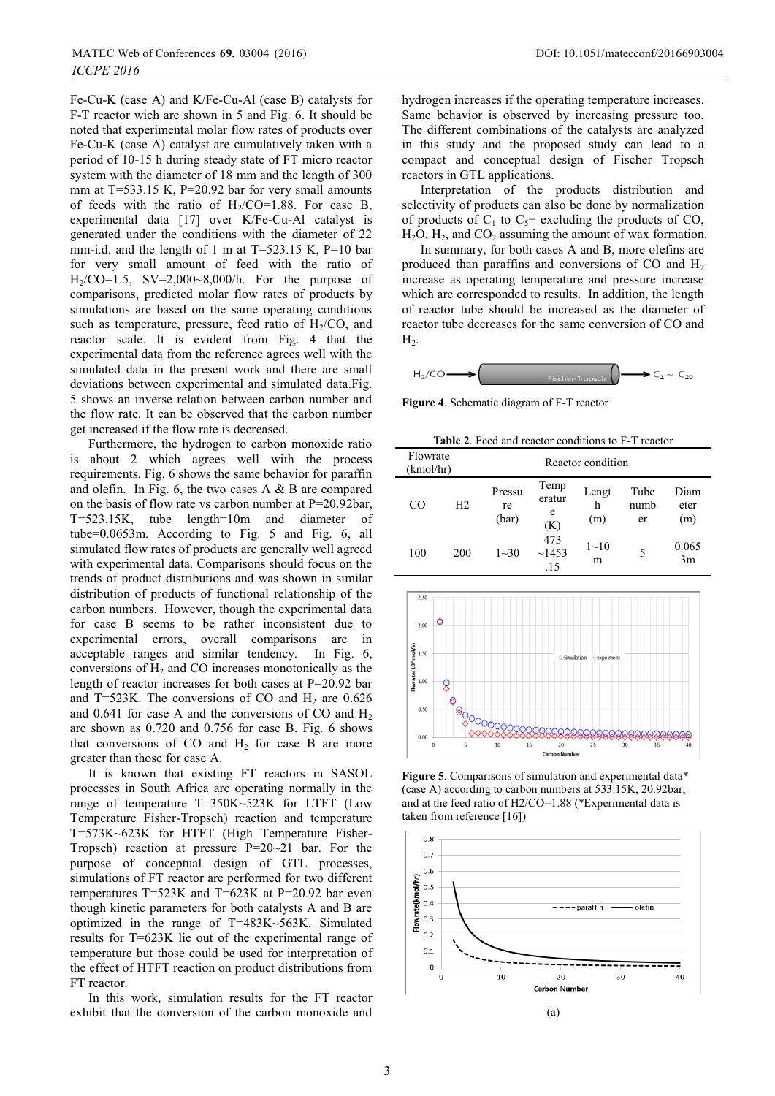Fe-Cu-K (case A) and K/Fe-Cu-Al (case B) catalysts for F-T reactor wich are shown in 5 and Fig. 6. It should be noted that experimental molar flow rates of products over Fe-Cu-K (case A) catalyst are cumulatively taken with a period of 10-15 h during steady state of FT micro reactor system with the diameter of 18 mm and the length of 300 mm at  $T=533.15$  K,  $P=20.92$  bar for very small amounts of feeds with the ratio of  $H_2/CO=1.88$ . For case B, experimental data [17] over K/Fe-Cu-Al catalyst is generated under the conditions with the diameter of 22 mm-i.d. and the length of 1 m at  $T=523.15$  K, P=10 bar for very small amount of feed with the ratio of  $H_2/CO=1.5$ ,  $SV=2,000-8,000/h$ . For the purpose of comparisons, predicted molar flow rates of products by simulations are based on the same operating conditions such as temperature, pressure, feed ratio of  $H<sub>2</sub>/CO$ , and reactor scale. It is evident from Fig. 4 that the experimental data from the reference agrees well with the simulated data in the present work and there are small deviations between experimental and simulated data.Fig. 5 shows an inverse relation between carbon number and the flow rate. It can be observed that the carbon number get increased if the flow rate is decreased.

Furthermore, the hydrogen to carbon monoxide ratio is about 2 which agrees well with the process requirements. Fig. 6 shows the same behavior for paraffin and olefin. In Fig. 6, the two cases A & B are compared on the basis of flow rate vs carbon number at P=20.92bar, T=523.15K, tube length=10m and diameter of tube=0.0653m. According to Fig. 5 and Fig. 6, all simulated flow rates of products are generally well agreed with experimental data. Comparisons should focus on the trends of product distributions and was shown in similar distribution of products of functional relationship of the carbon numbers. However, though the experimental data for case B seems to be rather inconsistent due to experimental errors, overall comparisons are in acceptable ranges and similar tendency. In Fig. 6, conversions of  $H<sub>2</sub>$  and CO increases monotonically as the length of reactor increases for both cases at P=20.92 bar and T=523K. The conversions of CO and  $H_2$  are 0.626 and 0.641 for case A and the conversions of CO and  $H_2$ are shown as 0.720 and 0.756 for case B. Fig. 6 shows that conversions of CO and  $H_2$  for case B are more greater than those for case A.

It is known that existing FT reactors in SASOL processes in South Africa are operating normally in the range of temperature T=350K~523K for LTFT (Low Temperature Fisher-Tropsch) reaction and temperature T=573K~623K for HTFT (High Temperature Fisher-Tropsch) reaction at pressure  $P=20-21$  bar. For the purpose of conceptual design of GTL processes, simulations of FT reactor are performed for two different temperatures  $T=523K$  and  $T=623K$  at P=20.92 bar even though kinetic parameters for both catalysts A and B are optimized in the range of T=483K~563K. Simulated results for T=623K lie out of the experimental range of temperature but those could be used for interpretation of the effect of HTFT reaction on product distributions from FT reactor.

In this work, simulation results for the FT reactor exhibit that the conversion of the carbon monoxide and hydrogen increases if the operating temperature increases. Same behavior is observed by increasing pressure too. The different combinations of the catalysts are analyzed in this study and the proposed study can lead to a compact and conceptual design of Fischer Tropsch reactors in GTL applications.

Interpretation of the products distribution and selectivity of products can also be done by normalization of products of  $C_1$  to  $C_5$ + excluding the products of CO,  $H<sub>2</sub>O$ ,  $H<sub>2</sub>$ , and  $CO<sub>2</sub>$  assuming the amount of wax formation.

In summary, for both cases A and B, more olefins are produced than paraffins and conversions of CO and H2 increase as operating temperature and pressure increase which are corresponded to results. In addition, the length of reactor tube should be increased as the diameter of reactor tube decreases for the same conversion of CO and  $H<sub>2</sub>$ 

$$
H_2/CO \longrightarrow
$$
 *Fischer-Tropsch*  $\longrightarrow$   $C_1 \sim C_{20}$ 

**Figure 4**. Schematic diagram of F-T reactor

**Table 2**. Feed and reactor conditions to F-T reactor

| Flowrate<br>(kmol/hr) |                | Reactor condition     |                            |                   |                    |                     |  |
|-----------------------|----------------|-----------------------|----------------------------|-------------------|--------------------|---------------------|--|
| CO                    | H <sub>2</sub> | Pressu<br>re<br>(bar) | Temp<br>eratur<br>e<br>(K) | Lengt<br>h<br>(m) | Tube<br>numb<br>er | Diam<br>eter<br>(m) |  |
| 100                   | 200            | $1 - 30$              | 473<br>~1453<br>.15        | $1 - 10$<br>m     | 5                  | 0.065<br>3m         |  |



**Figure 5**. Comparisons of simulation and experimental data\* (case A) according to carbon numbers at 533.15K, 20.92bar, and at the feed ratio of H2/CO=1.88 (\*Experimental data is taken from reference [16])